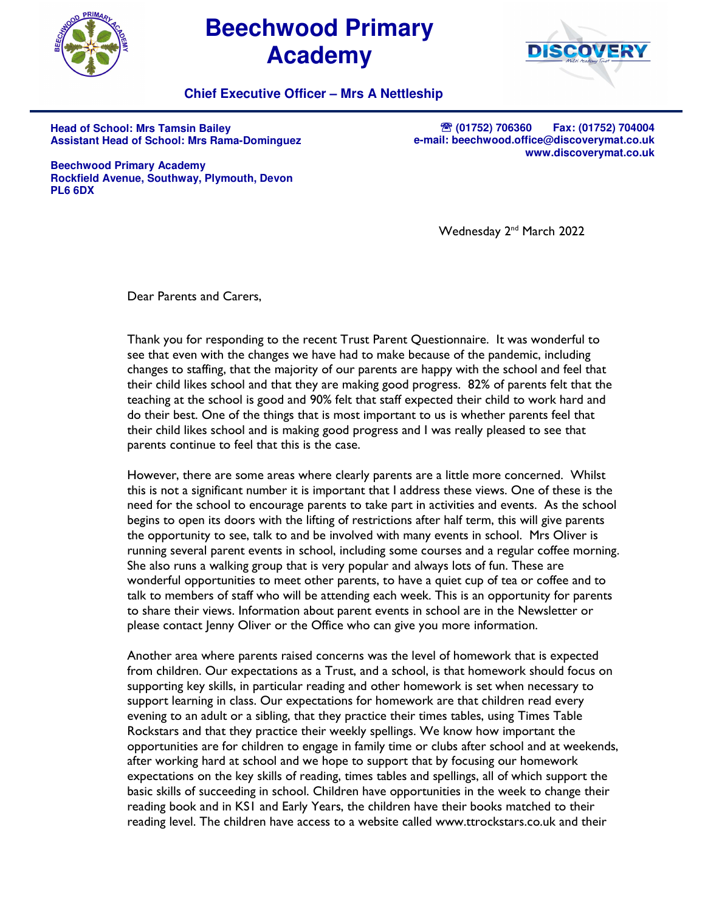

## **Beechwood Primary Academy**



**Chief Executive Officer – Mrs A Nettleship**

**Head of School: Mrs Tamsin Bailey Assistant Head of School: Mrs Rama-Dominguez** 

**<sup>2</sup> (01752) 706360 Fax: (01752) 704004 e-mail: beechwood.office@discoverymat.co.uk www.discoverymat.co.uk**

**Beechwood Primary Academy Rockfield Avenue, Southway, Plymouth, Devon PL6 6DX** 

Wednesday 2<sup>nd</sup> March 2022

Dear Parents and Carers,

Thank you for responding to the recent Trust Parent Questionnaire. It was wonderful to see that even with the changes we have had to make because of the pandemic, including changes to staffing, that the majority of our parents are happy with the school and feel that their child likes school and that they are making good progress. 82% of parents felt that the teaching at the school is good and 90% felt that staff expected their child to work hard and do their best. One of the things that is most important to us is whether parents feel that their child likes school and is making good progress and I was really pleased to see that parents continue to feel that this is the case.

However, there are some areas where clearly parents are a little more concerned. Whilst this is not a significant number it is important that I address these views. One of these is the need for the school to encourage parents to take part in activities and events. As the school begins to open its doors with the lifting of restrictions after half term, this will give parents the opportunity to see, talk to and be involved with many events in school. Mrs Oliver is running several parent events in school, including some courses and a regular coffee morning. She also runs a walking group that is very popular and always lots of fun. These are wonderful opportunities to meet other parents, to have a quiet cup of tea or coffee and to talk to members of staff who will be attending each week. This is an opportunity for parents to share their views. Information about parent events in school are in the Newsletter or please contact Jenny Oliver or the Office who can give you more information.

Another area where parents raised concerns was the level of homework that is expected from children. Our expectations as a Trust, and a school, is that homework should focus on supporting key skills, in particular reading and other homework is set when necessary to support learning in class. Our expectations for homework are that children read every evening to an adult or a sibling, that they practice their times tables, using Times Table Rockstars and that they practice their weekly spellings. We know how important the opportunities are for children to engage in family time or clubs after school and at weekends, after working hard at school and we hope to support that by focusing our homework expectations on the key skills of reading, times tables and spellings, all of which support the basic skills of succeeding in school. Children have opportunities in the week to change their reading book and in KS1 and Early Years, the children have their books matched to their reading level. The children have access to a website called www.ttrockstars.co.uk and their